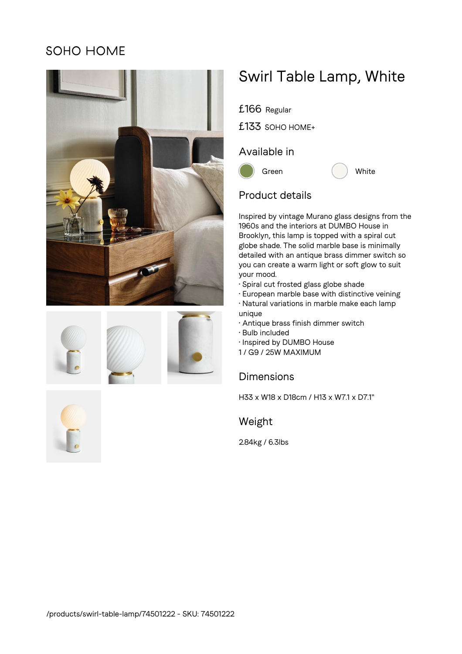## **SOHO HOME**









# Swirl Table Lamp, White

£166 Regular

£133 SOHO HOME+

## Available in





## Product details

Inspired by vintage Murano glass designs from the 1960s and the interiors at DUMBO House in Brooklyn, this lamp is topped with a spiral cut globe shade. The solid marble base is minimally detailed with an antique brass dimmer switch so you can create a warm light or soft glow to suit your mood.

- Spiral cut frosted glass globe shade
- European marble base with distinctive veining
- Natural variations in marble make each lamp unique
- Antique brass finish dimmer switch
- Bulb included
- Inspired by DUMBO House
- 1 / G9 / 25W MAXIMUM

### Dimensions

H33 x W18 x D18cm / H13 x W7.1 x D7.1"

Weight

2.84kg / 6.3lbs